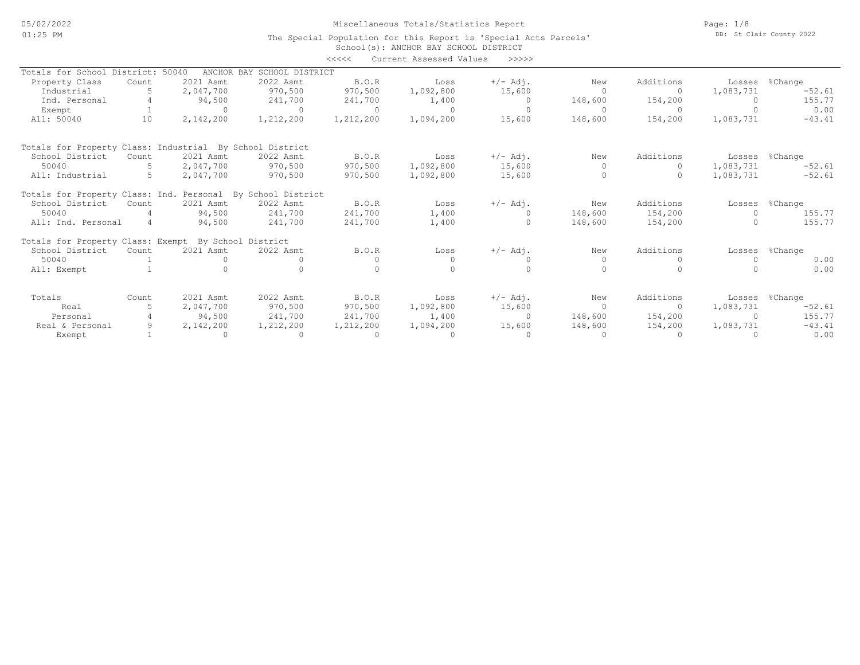## Miscellaneous Totals/Statistics Report

Page: 1/8 DB: St Clair County 2022

#### School(s): ANCHOR BAY SCHOOL DISTRICT The Special Population for this Report is 'Special Acts Parcels' <<<<< Current Assessed Values >>>>>

|                                                             |       |                |                            |              | CULLCIIC RUDGOOGU VULUCU |                |                |           |                |                |
|-------------------------------------------------------------|-------|----------------|----------------------------|--------------|--------------------------|----------------|----------------|-----------|----------------|----------------|
| Totals for School District:                                 |       | 50040          | ANCHOR BAY SCHOOL DISTRICT |              |                          |                |                |           |                |                |
| Property Class                                              | Count | 2021 Asmt      | 2022 Asmt                  | B.O.R        | Loss                     | $+/-$ Adj.     | New            | Additions |                | Losses %Change |
| Industrial                                                  |       | 2,047,700      | 970,500                    | 970,500      | 1,092,800                | 15,600         | $\Omega$       | $\circ$   | 1,083,731      | $-52.61$       |
| Ind. Personal                                               |       | 94,500         | 241,700                    | 241,700      | 1,400                    | $\overline{0}$ | 148,600        | 154,200   |                | 155.77         |
| Exempt                                                      |       | $\overline{a}$ | $\cap$                     | $\bigcap$    | $\Omega$                 | $\Omega$       | $\cap$         | $\Omega$  |                | 0.00           |
| All: 50040                                                  | 10    | 2,142,200      | 1,212,200                  | 1,212,200    | 1,094,200                | 15,600         | 148,600        | 154,200   | 1,083,731      | $-43.41$       |
| Totals for Property Class: Industrial By School District    |       |                |                            |              |                          |                |                |           |                |                |
| School District                                             | Count | 2021 Asmt      | 2022 Asmt                  | <b>B.O.R</b> | Loss                     | $+/-$ Adj.     | New            | Additions | Losses %Change |                |
| 50040                                                       |       | 2,047,700      | 970,500                    | 970,500      | 1,092,800                | 15,600         | $\Omega$       | $\Omega$  | 1,083,731      | $-52.61$       |
| All: Industrial                                             |       | 2,047,700      | 970,500                    | 970,500      | 1,092,800                | 15,600         | $\Omega$       |           | 1,083,731      | $-52.61$       |
| Totals for Property Class: Ind. Personal By School District |       |                |                            |              |                          |                |                |           |                |                |
| School District                                             | Count | 2021 Asmt      | 2022 Asmt                  | B.0.R        | Loss                     | $+/-$ Adj.     | New            | Additions | Losses         | %Change        |
| 50040                                                       |       | 94,500         | 241,700                    | 241,700      | 1,400                    |                | 148,600        | 154,200   |                | 155.77         |
| All: Ind. Personal                                          |       | 94,500         | 241,700                    | 241,700      | 1,400                    |                | 148,600        | 154,200   |                | 155.77         |
| Totals for Property Class: Exempt By School District        |       |                |                            |              |                          |                |                |           |                |                |
| School District                                             | Count | 2021 Asmt      | 2022 Asmt                  | B.O.R        | Loss                     | $+/-$ Adj.     | New            | Additions |                | Losses %Change |
| 50040                                                       |       |                |                            |              |                          |                | $\Omega$       |           |                | 0.00           |
| All: Exempt                                                 |       |                |                            |              |                          |                |                |           |                | 0.00           |
| Totals                                                      | Count | 2021 Asmt      | 2022 Asmt                  | <b>B.O.R</b> | Loss                     | $+/-$ Adj.     | New            | Additions |                | Losses %Change |
| Real                                                        |       | 2,047,700      | 970,500                    | 970,500      | 1,092,800                | 15,600         | $\overline{0}$ | $\Omega$  | 1,083,731      | $-52.61$       |
| Personal                                                    |       | 94,500         | 241,700                    | 241,700      | 1,400                    | $\bigcirc$     | 148,600        | 154,200   | $\bigcap$      | 155.77         |
| Real & Personal                                             |       | 2,142,200      | 1,212,200                  | 1,212,200    | 1,094,200                | 15,600         | 148,600        | 154,200   | 1,083,731      | $-43.41$       |
| Exempt                                                      |       |                | $\sim$ 0                   |              |                          |                | $\Omega$       | $\Omega$  |                | 0.00           |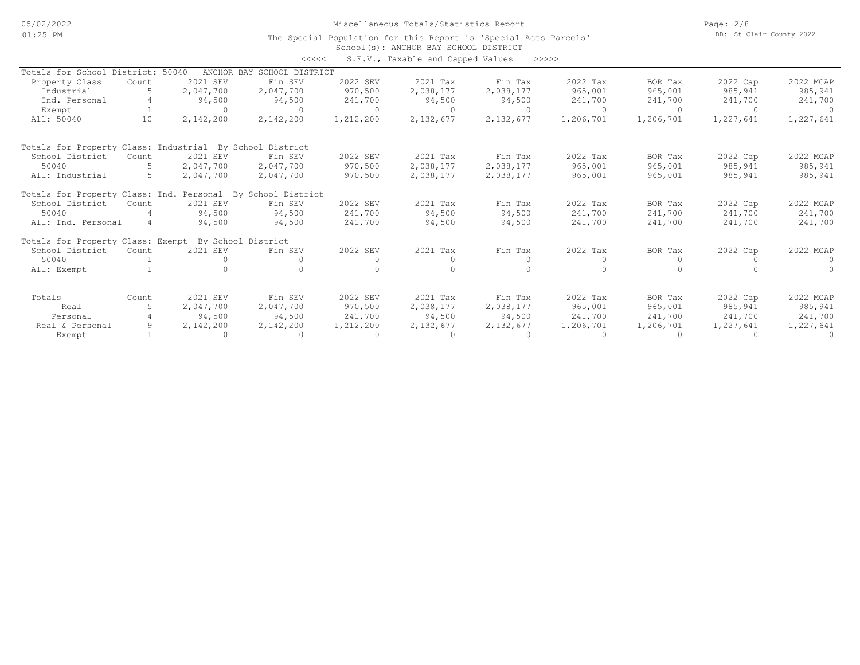05/02/2022 01:25 PM

Miscellaneous Totals/Statistics Report

Page: 2/8 DB: St Clair County 2022

#### School(s): ANCHOR BAY SCHOOL DISTRICT The Special Population for this Report is 'Special Acts Parcels'

| くくくくく | S.E.V., Taxable and Capped Values |  |  |  | >>>>> |
|-------|-----------------------------------|--|--|--|-------|
|-------|-----------------------------------|--|--|--|-------|

|                                                          |       |                    | ノノノノノ                      |           | U.S.V., lasable and capped values | ------    |           |           |           |           |
|----------------------------------------------------------|-------|--------------------|----------------------------|-----------|-----------------------------------|-----------|-----------|-----------|-----------|-----------|
| Totals for School District:                              |       | 50040              | ANCHOR BAY SCHOOL DISTRICT |           |                                   |           |           |           |           |           |
| Property Class                                           | Count | 2021 SEV           | Fin SEV                    | 2022 SEV  | 2021 Tax                          | Fin Tax   | 2022 Tax  | BOR Tax   | 2022 Cap  | 2022 MCAP |
| Industrial                                               |       | 2,047,700          | 2,047,700                  | 970,500   | 2,038,177                         | 2,038,177 | 965,001   | 965,001   | 985,941   | 985,941   |
| Ind. Personal                                            |       | 94,500             | 94,500                     | 241,700   | 94,500                            | 94,500    | 241,700   | 241,700   | 241,700   | 241,700   |
| Exempt                                                   |       | $\Omega$           | $\Omega$                   | $\Omega$  | $\Omega$                          |           | $\Omega$  | $\Omega$  | $\cap$    |           |
| All: 50040                                               | 10    | 2,142,200          | 2,142,200                  | 1,212,200 | 2,132,677                         | 2,132,677 | 1,206,701 | 1,206,701 | 1,227,641 | 1,227,641 |
| Totals for Property Class: Industrial By School District |       |                    |                            |           |                                   |           |           |           |           |           |
| School District                                          | Count | 2021 SEV           | Fin SEV                    | 2022 SEV  | 2021 Tax                          | Fin Tax   | 2022 Tax  | BOR Tax   | 2022 Cap  | 2022 MCAP |
| 50040                                                    |       | 2,047,700          | 2,047,700                  | 970,500   | 2,038,177                         | 2,038,177 | 965,001   | 965,001   | 985,941   | 985,941   |
| All: Industrial                                          |       | 2,047,700          | 2,047,700                  | 970,500   | 2,038,177                         | 2,038,177 | 965,001   | 965,001   | 985,941   | 985,941   |
| Totals for Property Class: Ind. Personal                 |       |                    | By School District         |           |                                   |           |           |           |           |           |
| School District                                          | Count | 2021 SEV           | Fin SEV                    | 2022 SEV  | 2021 Tax                          | Fin Tax   | 2022 Tax  | BOR Tax   | 2022 Cap  | 2022 MCAP |
| 50040                                                    |       | 94,500             | 94,500                     | 241,700   | 94,500                            | 94,500    | 241,700   | 241,700   | 241,700   | 241,700   |
| All: Ind. Personal                                       | 4     | 94,500             | 94,500                     | 241,700   | 94,500                            | 94,500    | 241,700   | 241,700   | 241,700   | 241,700   |
| Totals for Property Class: Exempt                        |       | By School District |                            |           |                                   |           |           |           |           |           |
| School District                                          | Count | 2021 SEV           | Fin SEV                    | 2022 SEV  | 2021 Tax                          | Fin Tax   | 2022 Tax  | BOR Tax   | 2022 Cap  | 2022 MCAP |
| 50040                                                    |       |                    | $\Omega$                   | $\Omega$  | $\circ$                           |           |           |           |           | $\Omega$  |
| All: Exempt                                              |       |                    |                            |           | $\cap$                            |           |           |           |           |           |
| Totals                                                   | Count | 2021 SEV           | Fin SEV                    | 2022 SEV  | 2021 Tax                          | Fin Tax   | 2022 Tax  | BOR Tax   | 2022 Cap  | 2022 MCAP |
| Real                                                     |       | 2,047,700          | 2,047,700                  | 970,500   | 2,038,177                         | 2,038,177 | 965,001   | 965,001   | 985,941   | 985,941   |
| Personal                                                 |       | 94,500             | 94,500                     | 241,700   | 94,500                            | 94,500    | 241,700   | 241,700   | 241,700   | 241,700   |
| Real & Personal                                          |       | 2,142,200          | 2,142,200                  | 1,212,200 | 2,132,677                         | 2,132,677 | 1,206,701 | 1,206,701 | 1,227,641 | 1,227,641 |
| Exempt                                                   |       | $\Omega$           | $\circ$                    | $\Omega$  | $\Omega$                          | $\Omega$  |           |           |           | $\Omega$  |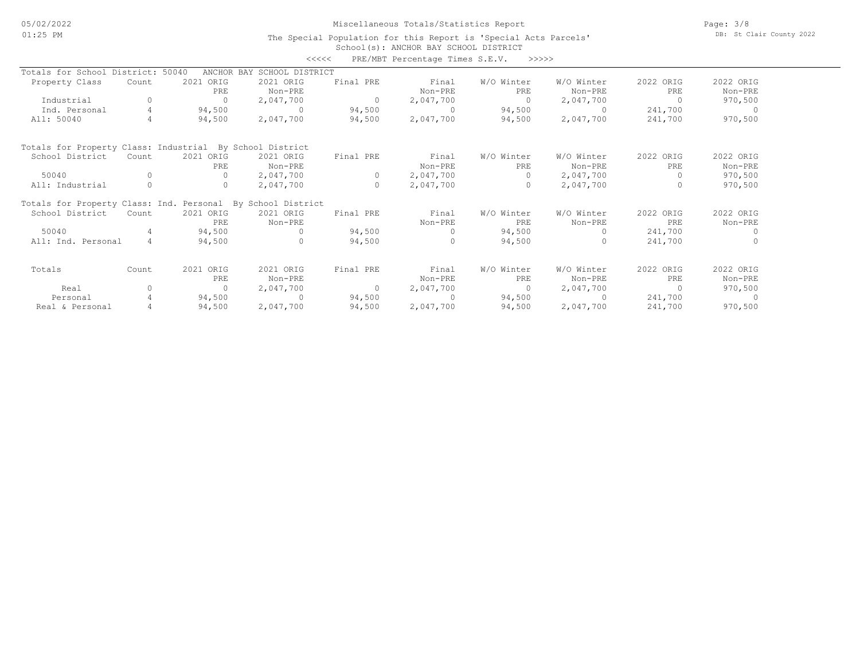### Miscellaneous Totals/Statistics Report

Page: 3/8 DB: St Clair County 2022

#### School(s): ANCHOR BAY SCHOOL DISTRICT The Special Population for this Report is 'Special Acts Parcels'

|                                                             |                |           |                            | <<<<           | PRE/MBT Percentage Times S.E.V. | >>>>>      |            |                |           |
|-------------------------------------------------------------|----------------|-----------|----------------------------|----------------|---------------------------------|------------|------------|----------------|-----------|
| Totals for School District: 50040                           |                |           | ANCHOR BAY SCHOOL DISTRICT |                |                                 |            |            |                |           |
| Property Class                                              | Count          | 2021 ORIG | 2021 ORIG                  | Final PRE      | Final                           | W/O Winter | W/O Winter | 2022 ORIG      | 2022 ORIG |
|                                                             |                | PRE       | Non-PRE                    |                | Non-PRE                         | PRE        | Non-PRE    | PRE            | Non-PRE   |
| Industrial                                                  | 0              | $\Omega$  | 2,047,700                  | $\overline{0}$ | 2,047,700                       | $\Omega$   | 2,047,700  | $\Omega$       | 970,500   |
| Ind. Personal                                               | $\overline{4}$ | 94,500    | $\Omega$                   | 94,500         | $\Omega$                        | 94,500     | $\Omega$   | 241,700        | $\cap$    |
| All: 50040                                                  | 4              | 94,500    | 2,047,700                  | 94,500         | 2,047,700                       | 94,500     | 2,047,700  | 241,700        | 970,500   |
| Totals for Property Class: Industrial By School District    |                |           |                            |                |                                 |            |            |                |           |
| School District                                             | Count          | 2021 ORIG | 2021 ORIG                  | Final PRE      | Final                           | W/O Winter | W/O Winter | 2022 ORIG      | 2022 ORIG |
|                                                             |                | PRE       | Non-PRE                    |                | Non-PRE                         | PRE        | Non-PRE    | PRE            | Non-PRE   |
| 50040                                                       | $\Omega$       | $\Omega$  | 2,047,700                  | $\circ$        | 2,047,700                       | $\Omega$   | 2,047,700  | $\Omega$       | 970,500   |
| All: Industrial                                             |                | 0         | 2,047,700                  | $\circ$        | 2,047,700                       | $\circ$    | 2,047,700  |                | 970,500   |
| Totals for Property Class: Ind. Personal By School District |                |           |                            |                |                                 |            |            |                |           |
| School District                                             | Count          | 2021 ORIG | 2021 ORIG                  | Final PRE      | Final                           | W/O Winter | W/O Winter | 2022 ORIG      | 2022 ORIG |
|                                                             |                | PRE.      | Non-PRE                    |                | Non-PRE                         | PRE        | Non-PRE    | PRE.           | Non-PRE   |
| 50040                                                       | 4              | 94,500    | $\Omega$                   | 94,500         | $\Omega$                        | 94,500     | $\Omega$   | 241,700        |           |
| All: Ind. Personal                                          | $\overline{4}$ | 94,500    | $\cap$                     | 94,500         | $\Omega$                        | 94,500     | $\Omega$   | 241,700        |           |
| Totals                                                      | Count          | 2021 ORIG | 2021 ORIG                  | Final PRE      | Final                           | W/O Winter | W/O Winter | 2022 ORIG      | 2022 ORIG |
|                                                             |                | PRE       | Non-PRE                    |                | Non-PRE                         | PRE        | Non-PRE    | PRE            | Non-PRE   |
| Real                                                        | 0              | $\circ$   | 2,047,700                  | $\overline{0}$ | 2,047,700                       | $\circ$    | 2,047,700  | $\overline{0}$ | 970,500   |
| Personal                                                    | 4              | 94,500    | $\Omega$                   | 94,500         | $\cap$                          | 94,500     | $\cap$     | 241,700        |           |
| Real & Personal                                             |                | 94,500    | 2,047,700                  | 94,500         | 2,047,700                       | 94,500     | 2,047,700  | 241,700        | 970,500   |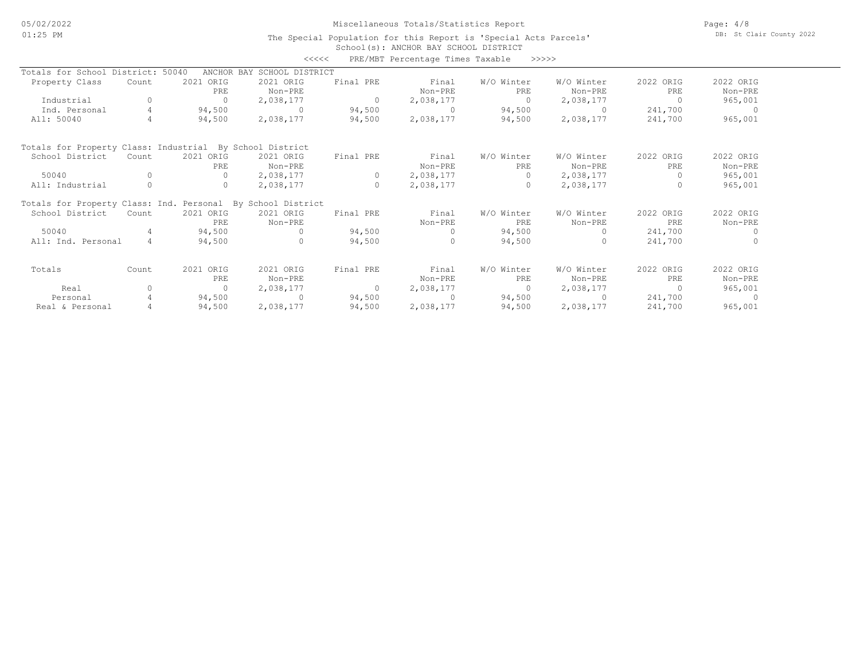### Miscellaneous Totals/Statistics Report

Page: 4/8 DB: St Clair County 2022

#### School(s): ANCHOR BAY SCHOOL DISTRICT The Special Population for this Report is 'Special Acts Parcels'

|                                                             |                |            | <<<<                       |           | PRE/MBT Percentage Times Taxable | >>>>>      |            |           |           |
|-------------------------------------------------------------|----------------|------------|----------------------------|-----------|----------------------------------|------------|------------|-----------|-----------|
| Totals for School District: 50040                           |                |            | ANCHOR BAY SCHOOL DISTRICT |           |                                  |            |            |           |           |
| Property Class                                              | Count          | 2021 ORIG  | 2021 ORIG                  | Final PRE | Final                            | W/O Winter | W/O Winter | 2022 ORIG | 2022 ORIG |
|                                                             |                | PRE        | Non-PRE                    |           | Non-PRE                          | PRE        | Non-PRE    | PRE       | Non-PRE   |
| Industrial                                                  | 0              | $\Omega$   | 2,038,177                  | $\circ$   | 2,038,177                        | $\Omega$   | 2,038,177  | $\Omega$  | 965,001   |
| Ind. Personal                                               | 4              | 94,500     | $\Omega$                   | 94,500    | $\Omega$                         | 94,500     | $\Omega$   | 241,700   | - 0       |
| All: 50040                                                  | 4              | 94,500     | 2,038,177                  | 94,500    | 2,038,177                        | 94,500     | 2,038,177  | 241,700   | 965,001   |
| Totals for Property Class: Industrial By School District    |                |            |                            |           |                                  |            |            |           |           |
| School District                                             | Count          | 2021 ORIG  | 2021 ORIG                  | Final PRE | Final                            | W/O Winter | W/O Winter | 2022 ORIG | 2022 ORIG |
|                                                             |                | <b>PRE</b> | Non-PRE                    |           | Non-PRE                          | PRE        | Non-PRE    | PRE       | Non-PRE   |
| 50040                                                       | O              | $\Omega$   | 2,038,177                  | $\circ$   | 2,038,177                        | $\Omega$   | 2,038,177  | $\Omega$  | 965,001   |
| All: Industrial                                             | 0              | $\circ$    | 2,038,177                  | $\circ$   | 2,038,177                        | $\Omega$   | 2,038,177  | $\Omega$  | 965,001   |
| Totals for Property Class: Ind. Personal By School District |                |            |                            |           |                                  |            |            |           |           |
| School District                                             | Count          | 2021 ORIG  | 2021 ORIG                  | Final PRE | Final                            | W/O Winter | W/O Winter | 2022 ORIG | 2022 ORIG |
|                                                             |                | PRE.       | Non-PRE                    |           | Non-PRE                          | PRE        | Non-PRE    | PRE       | Non-PRE   |
| 50040                                                       | 4              | 94,500     | $\Omega$                   | 94,500    | $\Omega$                         | 94,500     |            | 241,700   | $\Omega$  |
| All: Ind. Personal                                          | $\overline{4}$ | 94,500     | $\Omega$                   | 94,500    | $\Omega$                         | 94,500     | $\Omega$   | 241,700   | $\Omega$  |
| Totals                                                      | Count          | 2021 ORIG  | 2021 ORIG                  | Final PRE | Final                            | W/O Winter | W/O Winter | 2022 ORIG | 2022 ORIG |
|                                                             |                | PRE        | Non-PRE                    |           | Non-PRE                          | PRE        | Non-PRE    | PRE       | Non-PRE   |
| Real                                                        | 0              | $\Omega$   | 2,038,177                  | $\circ$   | 2,038,177                        | $\Omega$   | 2,038,177  | $\circ$   | 965,001   |
| Personal                                                    | 4              | 94,500     | $\Omega$                   | 94,500    | $\Omega$                         | 94,500     | $\cap$     | 241,700   | $\Omega$  |
| Real & Personal                                             |                | 94,500     | 2,038,177                  | 94,500    | 2,038,177                        | 94,500     | 2,038,177  | 241,700   | 965,001   |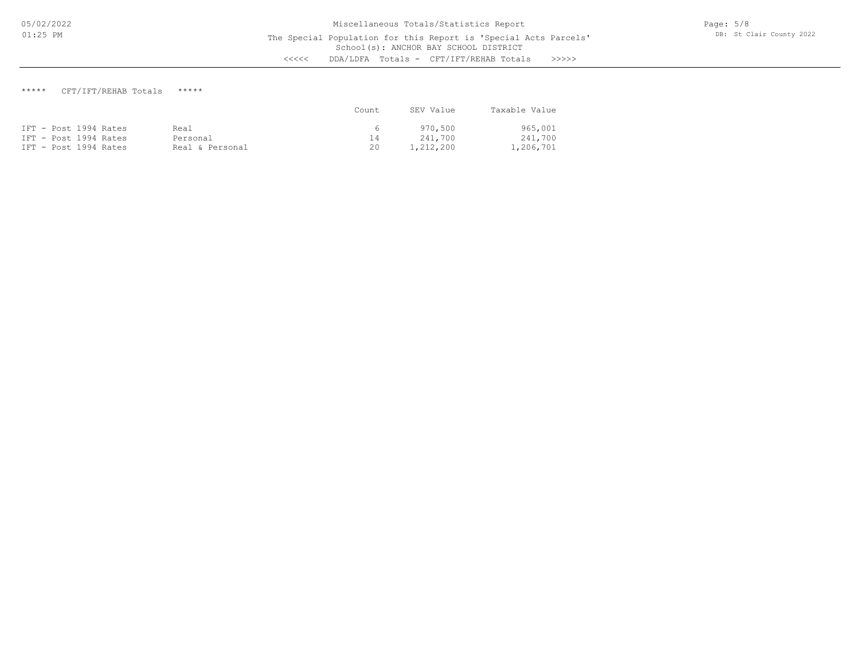## \*\*\*\*\* CFT/IFT/REHAB Totals \*\*\*\*\*

|                       |                 | Count. | SEV Value | Taxable Value |
|-----------------------|-----------------|--------|-----------|---------------|
| IFT - Post 1994 Rates | Real            | 6      | 970,500   | 965,001       |
| IFT - Post 1994 Rates | Personal        | 14     | 241.700   | 241,700       |
| IFT - Post 1994 Rates | Real & Personal | 20     | 1,212,200 | 1,206,701     |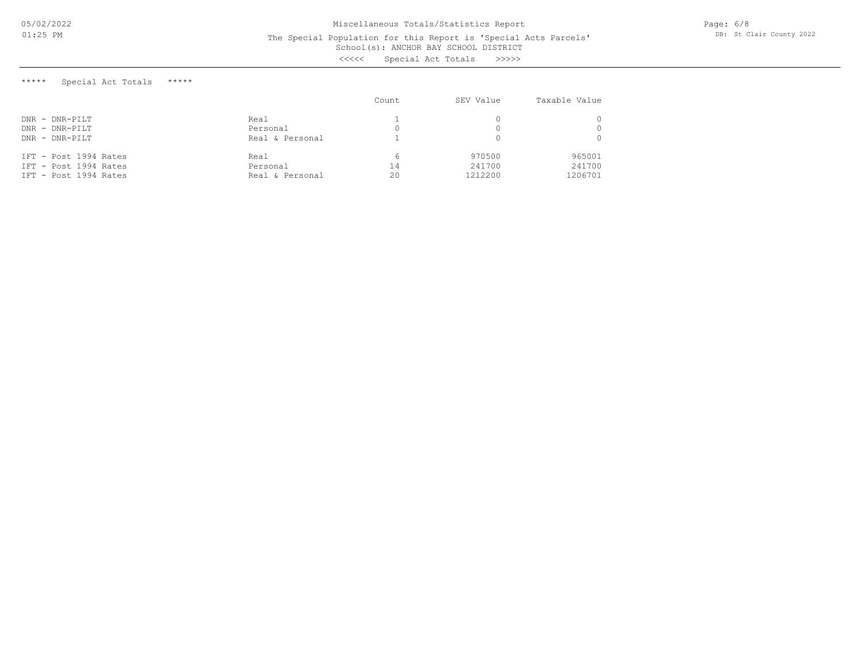Page: 6/8 DB: St Clair County 2022

# School(s): ANCHOR BAY SCHOOL DISTRICT The Special Population for this Report is 'Special Acts Parcels'

<<<<< Special Act Totals >>>>>

\*\*\*\*\* Special Act Totals \*\*\*\*\*

|                       |                 | Count | SEV Value | Taxable Value |
|-----------------------|-----------------|-------|-----------|---------------|
| $DNR - DNR-PILT$      | Real            |       |           |               |
| $DNR - DNR-PILT$      | Personal        |       |           |               |
| $DNR$ - $DNR-PILT$    | Real & Personal |       |           |               |
| IFT - Post 1994 Rates | Real            | 6.    | 970500    | 965001        |
| IFT - Post 1994 Rates | Personal        | 14    | 241700    | 241700        |
| IFT - Post 1994 Rates | Real & Personal | 20    | 1212200   | 1206701       |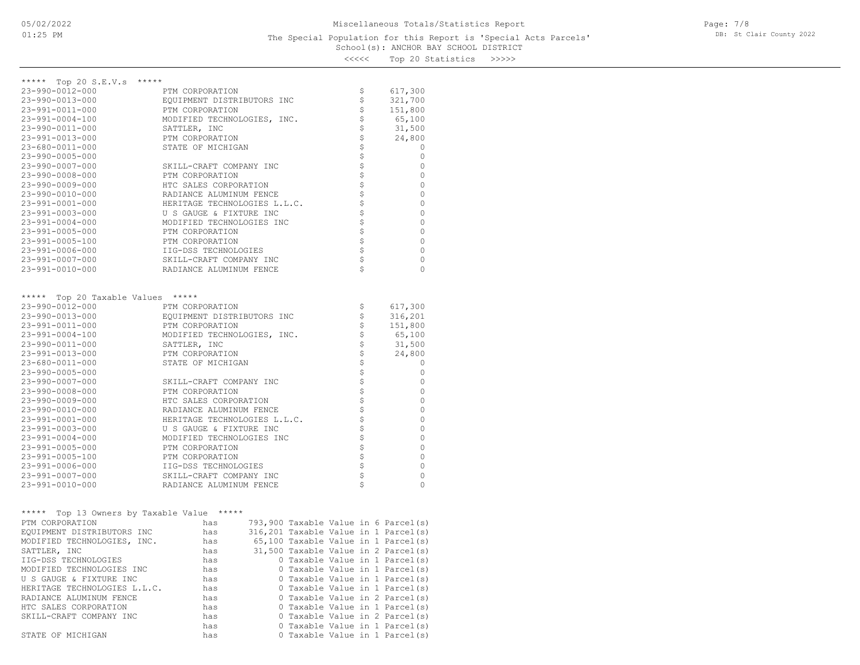# <<<<< Top 20 Statistics >>>>>

| ***** Top 20 S.E.V.s<br>*****                 |                              |  |                |                                      |
|-----------------------------------------------|------------------------------|--|----------------|--------------------------------------|
| 23-990-0012-000                               | PTM CORPORATION              |  | \$             | 617,300                              |
| 23-990-0013-000                               | EQUIPMENT DISTRIBUTORS INC   |  | \$             | 321,700                              |
| 23-991-0011-000                               | PTM CORPORATION              |  | \$             | 151,800                              |
| $23 - 991 - 0004 - 100$                       | MODIFIED TECHNOLOGIES, INC.  |  | \$             | 65,100                               |
| 23-990-0011-000                               | SATTLER, INC                 |  | \$             | 31,500                               |
| 23-991-0013-000                               | PTM CORPORATION              |  | \$\$\$\$\$\$   | 24,800                               |
| 23-680-0011-000                               | STATE OF MICHIGAN            |  |                | 0                                    |
| $23 - 990 - 0005 - 000$                       |                              |  |                | 0                                    |
| $23 - 990 - 0007 - 000$                       | SKILL-CRAFT COMPANY INC      |  |                | 0                                    |
| 23-990-0008-000                               | PTM CORPORATION              |  |                | 0                                    |
| $23 - 990 - 0009 - 000$                       | HTC SALES CORPORATION        |  | \$             | 0                                    |
| $23 - 990 - 0010 - 000$                       | RADIANCE ALUMINUM FENCE      |  |                | 0                                    |
| 23-991-0001-000                               | HERITAGE TECHNOLOGIES L.L.C. |  | \$             | 0                                    |
| $23 - 991 - 0003 - 000$                       | U S GAUGE & FIXTURE INC      |  | \$             | 0                                    |
| $23 - 991 - 0004 - 000$                       | MODIFIED TECHNOLOGIES INC    |  | \$\$\$         | 0                                    |
| 23-991-0005-000                               | PTM CORPORATION              |  |                | 0                                    |
| 23-991-0005-100                               | PTM CORPORATION              |  |                | 0                                    |
| 23-991-0006-000                               | IIG-DSS TECHNOLOGIES         |  | $\varsigma$    | 0                                    |
| 23-991-0007-000                               | SKILL-CRAFT COMPANY INC      |  | \$             | 0                                    |
| 23-991-0010-000                               | RADIANCE ALUMINUM FENCE      |  |                | 0                                    |
|                                               |                              |  |                |                                      |
| ***** Top 20 Taxable Values *****             |                              |  |                |                                      |
| $23 - 990 - 0012 - 000$                       | PTM CORPORATION              |  | Ş              | 617,300                              |
| 23-990-0013-000                               | EQUIPMENT DISTRIBUTORS INC   |  | \$             | 316,201                              |
| 23-991-0011-000                               | PTM CORPORATION              |  | \$             | 151,800                              |
| 23-991-0004-100                               | MODIFIED TECHNOLOGIES, INC.  |  | \$             | 65,100                               |
| 23-990-0011-000                               | SATTLER, INC                 |  | \$             | 31,500                               |
| 23-991-0013-000                               | PTM CORPORATION              |  | \$             | 24,800                               |
| 23-680-0011-000                               | STATE OF MICHIGAN            |  | \$\$\$\$\$\$\$ | 0                                    |
| $23 - 990 - 0005 - 000$                       |                              |  |                | 0                                    |
| $23 - 990 - 0007 - 000$                       | SKILL-CRAFT COMPANY INC      |  |                | 0                                    |
| $23 - 990 - 0008 - 000$                       | PTM CORPORATION              |  |                | 0                                    |
| $23 - 990 - 0009 - 000$                       | HTC SALES CORPORATION        |  |                | 0                                    |
| 23-990-0010-000                               | RADIANCE ALUMINUM FENCE      |  | \$             | 0                                    |
| 23-991-0001-000                               | HERITAGE TECHNOLOGIES L.L.C. |  | \$             | 0                                    |
| $23 - 991 - 0003 - 000$                       | U S GAUGE & FIXTURE INC      |  | \$             | 0                                    |
| $23 - 991 - 0004 - 000$                       | MODIFIED TECHNOLOGIES INC    |  | \$             | 0                                    |
| $23 - 991 - 0005 - 000$                       | PTM CORPORATION              |  | \$             | 0                                    |
| 23-991-0005-100                               | PTM CORPORATION              |  |                | 0                                    |
| 23-991-0006-000                               | IIG-DSS TECHNOLOGIES         |  | \$\$\$         | 0                                    |
| 23-991-0007-000                               | SKILL-CRAFT COMPANY INC      |  |                | 0                                    |
| 23-991-0010-000                               | RADIANCE ALUMINUM FENCE      |  |                | 0                                    |
|                                               |                              |  |                |                                      |
| *****<br>Top 13 Owners by Taxable Value ***** |                              |  |                |                                      |
| PTM CORPORATION                               | has                          |  |                | 793,900 Taxable Value in 6 Parcel(s) |
| EQUIPMENT DISTRIBUTORS INC                    | has                          |  |                | 316,201 Taxable Value in 1 Parcel(s) |
| MODIFIED TECHNOLOGIES, INC.                   | has                          |  |                | 65,100 Taxable Value in 1 Parcel(s)  |
| SATTLER, INC                                  | has                          |  |                | 31,500 Taxable Value in 2 Parcel(s)  |
| IIG-DSS TECHNOLOGIES                          | has                          |  |                | 0 Taxable Value in 1 Parcel(s)       |
| MODIFIED TECHNOLOGIES INC                     | has                          |  |                | 0 Taxable Value in 1 Parcel(s)       |
| U S GAUGE & FIXTURE INC                       | has                          |  |                | 0 Taxable Value in 1 Parcel(s)       |
| HERITAGE TECHNOLOGIES L.L.C.                  | has                          |  |                | 0 Taxable Value in 1 Parcel(s)       |
| RADIANCE ALUMINUM FENCE                       | has                          |  |                | 0 Taxable Value in 2 Parcel(s)       |
| HTC SALES CORPORATION                         | has                          |  |                | 0 Taxable Value in 1 Parcel(s)       |
| SKILL-CRAFT COMPANY INC                       | has                          |  |                | 0 Taxable Value in 2 Parcel(s)       |
|                                               | has                          |  |                | 0 Taxable Value in 1 Parcel(s)       |
| STATE OF MICHIGAN                             | has                          |  |                | 0 Taxable Value in 1 Parcel(s)       |